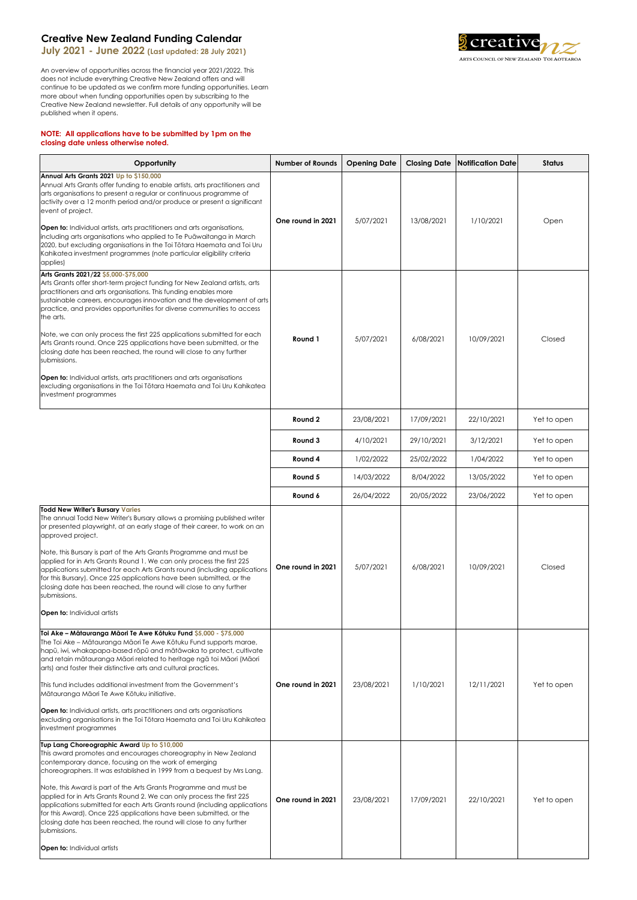## **Creative New Zealand Funding Calendar**

**July 2021 - June 2022 (Last updated: 28 July 2021)**

An overview of opportunities across the financial year 2021/2022. This does not include everything Creative New Zealand offers and will continue to be updated as we confirm more funding opportunities. Learn more about when funding opportunities open by subscribing to the Creative New Zealand newsletter. Full details of any opportunity will be published when it opens.

## **NOTE: All applications have to be submitted by 1pm on the closing date unless otherwise noted.**



**L** creative ARTS COUNCIL OF NEW ZEALAND TOI AOTEAROA

|                                                                                                                                                                                                                                                                                                                                                                                                                                                                                                                                                                                                                                                             | <b>Round 2</b>    | 23/08/2021 | 17/09/2021 | 22/10/2021 | Yet to open |
|-------------------------------------------------------------------------------------------------------------------------------------------------------------------------------------------------------------------------------------------------------------------------------------------------------------------------------------------------------------------------------------------------------------------------------------------------------------------------------------------------------------------------------------------------------------------------------------------------------------------------------------------------------------|-------------------|------------|------------|------------|-------------|
|                                                                                                                                                                                                                                                                                                                                                                                                                                                                                                                                                                                                                                                             | <b>Round 3</b>    | 4/10/2021  | 29/10/2021 | 3/12/2021  | Yet to open |
|                                                                                                                                                                                                                                                                                                                                                                                                                                                                                                                                                                                                                                                             | Round 4           | 1/02/2022  | 25/02/2022 | 1/04/2022  | Yet to open |
|                                                                                                                                                                                                                                                                                                                                                                                                                                                                                                                                                                                                                                                             | Round 5           | 14/03/2022 | 8/04/2022  | 13/05/2022 | Yet to open |
|                                                                                                                                                                                                                                                                                                                                                                                                                                                                                                                                                                                                                                                             | Round 6           | 26/04/2022 | 20/05/2022 | 23/06/2022 | Yet to open |
| <b>Todd New Writer's Bursary Varies</b><br>The annual Todd New Writer's Bursary allows a promising published writer<br>or presented playwright, at an early stage of their career, to work on an<br>approved project.<br>Note, this Bursary is part of the Arts Grants Programme and must be<br>applied for in Arts Grants Round 1. We can only process the first 225<br>applications submitted for each Arts Grants round (including applications)<br>for this Bursary). Once 225 applications have been submitted, or the<br>closing date has been reached, the round will close to any further<br>submissions.                                           | One round in 2021 | 5/07/2021  | 6/08/2021  | 10/09/2021 | Closed      |
| <b>Open to:</b> Individual artists                                                                                                                                                                                                                                                                                                                                                                                                                                                                                                                                                                                                                          |                   |            |            |            |             |
| Toi Ake – Mātauranga Māori Te Awe Kōtuku Fund \$5,000 - \$75,000<br>The Toi Ake – Mātauranga Māori Te Awe Kōtuku Fund supports marae,<br>hapū, iwi, whakapapa-based rōpū and mātāwaka to protect, cultivate<br>and retain mātauranga Māori related to heritage ngā toi Māori (Māori<br>arts) and foster their distinctive arts and cultural practices.<br>This fund includes additional investment from the Government's<br>Mātauranga Māori Te Awe Kōtuku initiative.<br><b>Open to:</b> Individual artists, arts practitioners and arts organisations<br>excluding organisations in the Toi Tōtara Haemata and Toi Uru Kahikatea<br>investment programmes | One round in 2021 | 23/08/2021 | 1/10/2021  | 12/11/2021 | Yet to open |
| Tup Lang Choreographic Award Up to \$10,000<br>This award promotes and encourages choreography in New Zealand<br>contemporary dance, focusing on the work of emerging<br>choreographers. It was established in 1999 from a bequest by Mrs Lang.<br>Note, this Award is part of the Arts Grants Programme and must be<br>applied for in Arts Grants Round 2. We can only process the first 225<br>applications submitted for each Arts Grants round (including applications<br>for this Award). Once 225 applications have been submitted, or the<br>closing date has been reached, the round will close to any further                                      | One round in 2021 | 23/08/2021 | 17/09/2021 | 22/10/2021 | Yet to open |